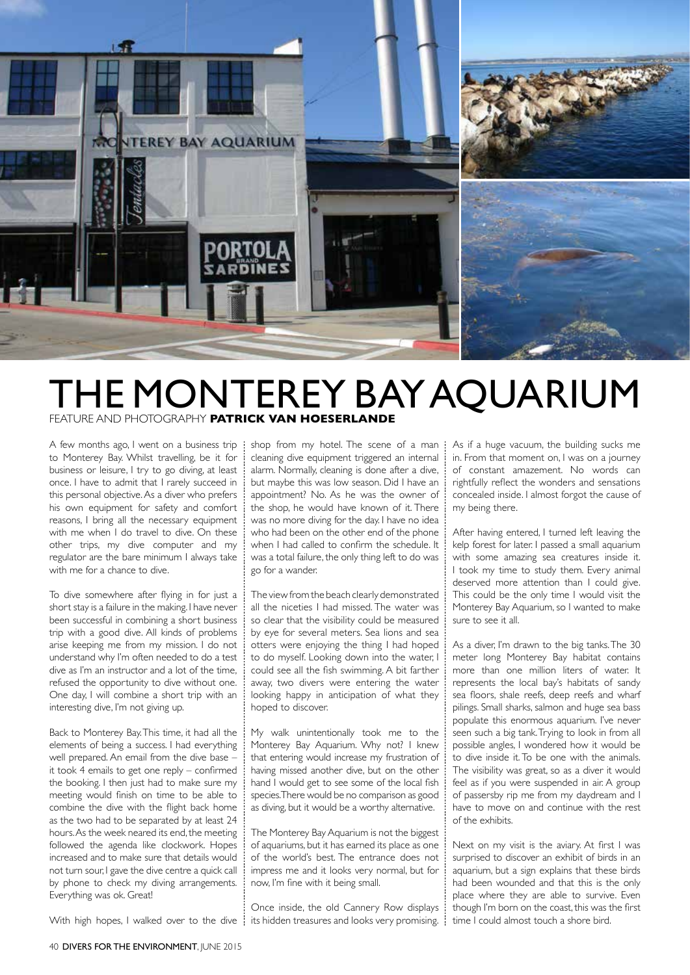

## THE MONTEREY BAY AQUARIUM FEATURE AND PHOTOGRAPHY **PATRICK VAN HOESERLANDE**

A few months ago, I went on a business trip | to Monterey Bay. Whilst travelling, be it for business or leisure, I try to go diving, at least once. I have to admit that I rarely succeed in this personal objective. As a diver who prefers his own equipment for safety and comfort reasons, I bring all the necessary equipment with me when I do travel to dive. On these other trips, my dive computer and my regulator are the bare minimum I always take with me for a chance to dive.

To dive somewhere after flying in for just a short stay is a failure in the making. I have never been successful in combining a short business trip with a good dive. All kinds of problems arise keeping me from my mission. I do not understand why I'm often needed to do a test dive as I'm an instructor and a lot of the time, refused the opportunity to dive without one. One day, I will combine a short trip with an interesting dive, I'm not giving up.

Back to Monterey Bay. This time, it had all the elements of being a success. I had everything well prepared. An email from the dive base – it took 4 emails to get one reply – confirmed the booking. I then just had to make sure my meeting would finish on time to be able to combine the dive with the flight back home as the two had to be separated by at least 24 hours. As the week neared its end, the meeting followed the agenda like clockwork. Hopes increased and to make sure that details would not turn sour, I gave the dive centre a quick call by phone to check my diving arrangements. Everything was ok. Great!

shop from my hotel. The scene of a man cleaning dive equipment triggered an internal alarm. Normally, cleaning is done after a dive, but maybe this was low season. Did I have an appointment? No. As he was the owner of the shop, he would have known of it. There was no more diving for the day. I have no idea who had been on the other end of the phone when I had called to confirm the schedule. It was a total failure, the only thing left to do was go for a wander.

The view from the beach clearly demonstrated all the niceties I had missed. The water was so clear that the visibility could be measured by eye for several meters. Sea lions and sea otters were enjoying the thing I had hoped to do myself. Looking down into the water, I could see all the fish swimming. A bit farther away, two divers were entering the water looking happy in anticipation of what they hoped to discover.

My walk unintentionally took me to the Monterey Bay Aquarium. Why not? I knew that entering would increase my frustration of having missed another dive, but on the other hand I would get to see some of the local fish species. There would be no comparison as good as diving, but it would be a worthy alternative.

The Monterey Bay Aquarium is not the biggest of aquariums, but it has earned its place as one of the world's best. The entrance does not impress me and it looks very normal, but for now, I'm fine with it being small.

Once inside, the old Cannery Row displays ÷

As if a huge vacuum, the building sucks me in. From that moment on, I was on a journey of constant amazement. No words can rightfully reflect the wonders and sensations concealed inside. I almost forgot the cause of my being there.

After having entered, I turned left leaving the kelp forest for later. I passed a small aquarium with some amazing sea creatures inside it. I took my time to study them. Every animal deserved more attention than I could give. This could be the only time I would visit the Monterey Bay Aquarium, so I wanted to make sure to see it all.

As a diver, I'm drawn to the big tanks. The 30 meter long Monterey Bay habitat contains more than one million liters of water. It represents the local bay's habitats of sandy sea floors, shale reefs, deep reefs and wharf pilings. Small sharks, salmon and huge sea bass populate this enormous aquarium. I've never seen such a big tank. Trying to look in from all possible angles, I wondered how it would be to dive inside it. To be one with the animals. The visibility was great, so as a diver it would feel as if you were suspended in air. A group of passersby rip me from my daydream and I have to move on and continue with the rest of the exhibits.

Next on my visit is the aviary. At first I was surprised to discover an exhibit of birds in an aquarium, but a sign explains that these birds had been wounded and that this is the only place where they are able to survive. Even though I'm born on the coast, this was the first time I could almost touch a shore bird.

With high hopes, I walked over to the dive  $\frac{1}{2}$  its hidden treasures and looks very promising.